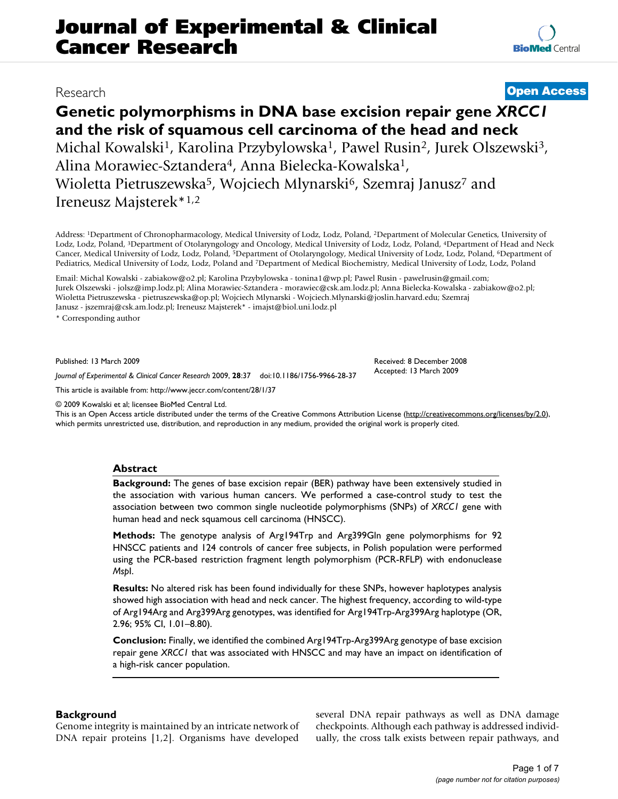# **Genetic polymorphisms in DNA base excision repair gene** *XRCC1*  **and the risk of squamous cell carcinoma of the head and neck** Michal Kowalski<sup>1</sup>, Karolina Przybylowska<sup>1</sup>, Pawel Rusin<sup>2</sup>, Jurek Olszewski<sup>3</sup>,

Alina Morawiec-Sztandera4, Anna Bielecka-Kowalska1, Wioletta Pietruszewska<sup>5</sup>, Wojciech Mlynarski<sup>6</sup>, Szemraj Janusz<sup>7</sup> and Ireneusz Majsterek\*1,2

Address: 1Department of Chronopharmacology, Medical University of Lodz, Lodz, Poland, 2Department of Molecular Genetics, University of Lodz, Lodz, Poland, 3Department of Otolaryngology and Oncology, Medical University of Lodz, Lodz, Poland, 4Department of Head and Neck Cancer, Medical University of Lodz, Lodz, Poland, 5Department of Otolaryngology, Medical University of Lodz, Lodz, Poland, 6Department of Pediatrics, Medical University of Lodz, Lodz, Poland and 7Department of Medical Biochemistry, Medical University of Lodz, Lodz, Poland

Email: Michal Kowalski - zabiakow@o2.pl; Karolina Przybylowska - tonina1@wp.pl; Pawel Rusin - pawelrusin@gmail.com; Jurek Olszewski - jolsz@imp.lodz.pl; Alina Morawiec-Sztandera - morawiec@csk.am.lodz.pl; Anna Bielecka-Kowalska - zabiakow@o2.pl; Wioletta Pietruszewska - pietruszewska@op.pl; Wojciech Mlynarski - Wojciech.Mlynarski@joslin.harvard.edu; Szemraj Janusz - jszemraj@csk.am.lodz.pl; Ireneusz Majsterek\* - imajst@biol.uni.lodz.pl

\* Corresponding author

Published: 13 March 2009

*Journal of Experimental & Clinical Cancer Research* 2009, **28**:37 doi:10.1186/1756-9966-28-37

[This article is available from: http://www.jeccr.com/content/28/1/37](http://www.jeccr.com/content/28/1/37)

© 2009 Kowalski et al; licensee BioMed Central Ltd.

This is an Open Access article distributed under the terms of the Creative Commons Attribution License [\(http://creativecommons.org/licenses/by/2.0\)](http://creativecommons.org/licenses/by/2.0), which permits unrestricted use, distribution, and reproduction in any medium, provided the original work is properly cited.

#### **Abstract**

**Background:** The genes of base excision repair (BER) pathway have been extensively studied in the association with various human cancers. We performed a case-control study to test the association between two common single nucleotide polymorphisms (SNPs) of *XRCC1* gene with human head and neck squamous cell carcinoma (HNSCC).

**Methods:** The genotype analysis of Arg194Trp and Arg399Gln gene polymorphisms for 92 HNSCC patients and 124 controls of cancer free subjects, in Polish population were performed using the PCR-based restriction fragment length polymorphism (PCR-RFLP) with endonuclease *Msp*I.

**Results:** No altered risk has been found individually for these SNPs, however haplotypes analysis showed high association with head and neck cancer. The highest frequency, according to wild-type of Arg194Arg and Arg399Arg genotypes, was identified for Arg194Trp-Arg399Arg haplotype (OR, 2.96; 95% CI, 1.01–8.80).

**Conclusion:** Finally, we identified the combined Arg194Trp-Arg399Arg genotype of base excision repair gene *XRCC1* that was associated with HNSCC and may have an impact on identification of a high-risk cancer population.

#### **Background**

Genome integrity is maintained by an intricate network of DNA repair proteins [[1](#page-5-0)[,2\]](#page-5-1). Organisms have developed several DNA repair pathways as well as DNA damage checkpoints. Although each pathway is addressed individually, the cross talk exists between repair pathways, and

# Research **[Open Access](http://www.biomedcentral.com/info/about/charter/)**

Received: 8 December 2008 Accepted: 13 March 2009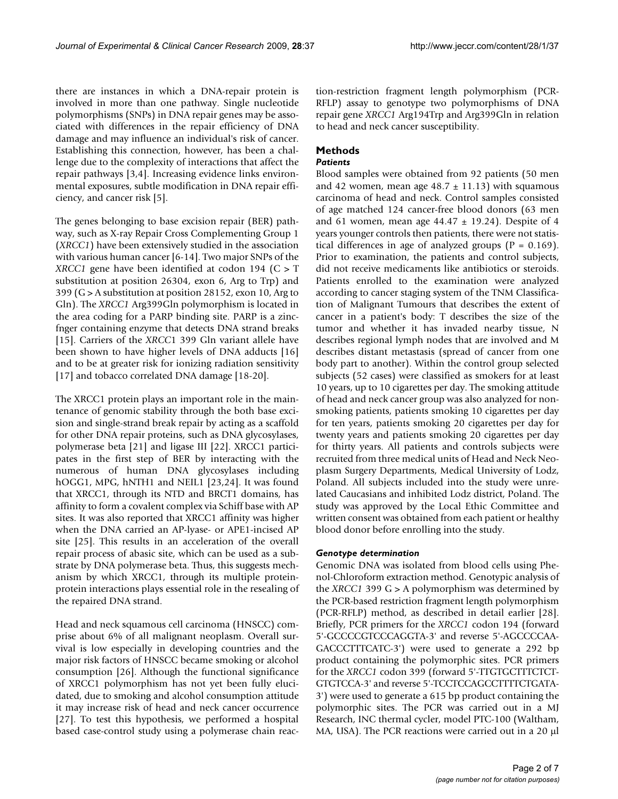there are instances in which a DNA-repair protein is involved in more than one pathway. Single nucleotide polymorphisms (SNPs) in DNA repair genes may be associated with differences in the repair efficiency of DNA damage and may influence an individual's risk of cancer. Establishing this connection, however, has been a challenge due to the complexity of interactions that affect the repair pathways [[3](#page-5-2),[4](#page-5-3)]. Increasing evidence links environmental exposures, subtle modification in DNA repair efficiency, and cancer risk [\[5\]](#page-5-4).

The genes belonging to base excision repair (BER) pathway, such as X-ray Repair Cross Complementing Group 1 (*XRCC1*) have been extensively studied in the association with various human cancer [[6](#page-5-5)[-14\]](#page-6-0). Two major SNPs of the *XRCC1* gene have been identified at codon 194 (C > T substitution at position 26304, exon 6, Arg to Trp) and 399 (G > A substitution at position 28152, exon 10, Arg to Gln). The *XRCC1* Arg399Gln polymorphism is located in the area coding for a PARP binding site. PARP is a zincfnger containing enzyme that detects DNA strand breaks [[15](#page-6-1)]. Carriers of the *XRCC*1 399 Gln variant allele have been shown to have higher levels of DNA adducts [[16\]](#page-6-2) and to be at greater risk for ionizing radiation sensitivity [[17](#page-6-3)] and tobacco correlated DNA damage [\[18-](#page-6-4)[20\]](#page-6-5).

The XRCC1 protein plays an important role in the maintenance of genomic stability through the both base excision and single-strand break repair by acting as a scaffold for other DNA repair proteins, such as DNA glycosylases, polymerase beta [[21](#page-6-6)] and ligase III [\[22\]](#page-6-7). XRCC1 participates in the first step of BER by interacting with the numerous of human DNA glycosylases including hOGG1, MPG, hNTH1 and NEIL1 [[23,](#page-6-8)[24](#page-6-9)]. It was found that XRCC1, through its NTD and BRCT1 domains, has affinity to form a covalent complex via Schiff base with AP sites. It was also reported that XRCC1 affinity was higher when the DNA carried an AP-lyase- or APE1-incised AP site [\[25](#page-6-10)]. This results in an acceleration of the overall repair process of abasic site, which can be used as a substrate by DNA polymerase beta. Thus, this suggests mechanism by which XRCC1, through its multiple proteinprotein interactions plays essential role in the resealing of the repaired DNA strand.

Head and neck squamous cell carcinoma (HNSCC) comprise about 6% of all malignant neoplasm. Overall survival is low especially in developing countries and the major risk factors of HNSCC became smoking or alcohol consumption [[26\]](#page-6-11). Although the functional significance of XRCC1 polymorphism has not yet been fully elucidated, due to smoking and alcohol consumption attitude it may increase risk of head and neck cancer occurrence [[27](#page-6-12)]. To test this hypothesis, we performed a hospital based case-control study using a polymerase chain reaction-restriction fragment length polymorphism (PCR-RFLP) assay to genotype two polymorphisms of DNA repair gene *XRCC1* Arg194Trp and Arg399Gln in relation to head and neck cancer susceptibility.

# **Methods**

### *Patients*

Blood samples were obtained from 92 patients (50 men and 42 women, mean age  $48.7 \pm 11.13$ ) with squamous carcinoma of head and neck. Control samples consisted of age matched 124 cancer-free blood donors (63 men and 61 women, mean age  $44.47 \pm 19.24$ ). Despite of 4 years younger controls then patients, there were not statistical differences in age of analyzed groups ( $P = 0.169$ ). Prior to examination, the patients and control subjects, did not receive medicaments like antibiotics or steroids. Patients enrolled to the examination were analyzed according to cancer staging system of the TNM Classification of Malignant Tumours that describes the extent of cancer in a patient's body: T describes the size of the tumor and whether it has invaded nearby tissue, N describes regional lymph nodes that are involved and M describes distant metastasis (spread of cancer from one body part to another). Within the control group selected subjects (52 cases) were classified as smokers for at least 10 years, up to 10 cigarettes per day. The smoking attitude of head and neck cancer group was also analyzed for nonsmoking patients, patients smoking 10 cigarettes per day for ten years, patients smoking 20 cigarettes per day for twenty years and patients smoking 20 cigarettes per day for thirty years. All patients and controls subjects were recruited from three medical units of Head and Neck Neoplasm Surgery Departments, Medical University of Lodz, Poland. All subjects included into the study were unrelated Caucasians and inhibited Lodz district, Poland. The study was approved by the Local Ethic Committee and written consent was obtained from each patient or healthy blood donor before enrolling into the study.

#### *Genotype determination*

Genomic DNA was isolated from blood cells using Phenol-Chloroform extraction method. Genotypic analysis of the *XRCC1* 399 G > A polymorphism was determined by the PCR-based restriction fragment length polymorphism (PCR-RFLP) method, as described in detail earlier [\[28](#page-6-13)]. Briefly, PCR primers for the *XRCC1* codon 194 (forward 5'-GCCCCGTCCCAGGTA-3' and reverse 5'-AGCCCCAA-GACCCTTTCATC-3') were used to generate a 292 bp product containing the polymorphic sites. PCR primers for the *XRCC1* codon 399 (forward 5'-TTGTGCTTTCTCT-GTGTCCA-3' and reverse 5'-TCCTCCAGCCTTTTCTGATA-3') were used to generate a 615 bp product containing the polymorphic sites. The PCR was carried out in a MJ Research, INC thermal cycler, model PTC-100 (Waltham, MA, USA). The PCR reactions were carried out in a 20 μl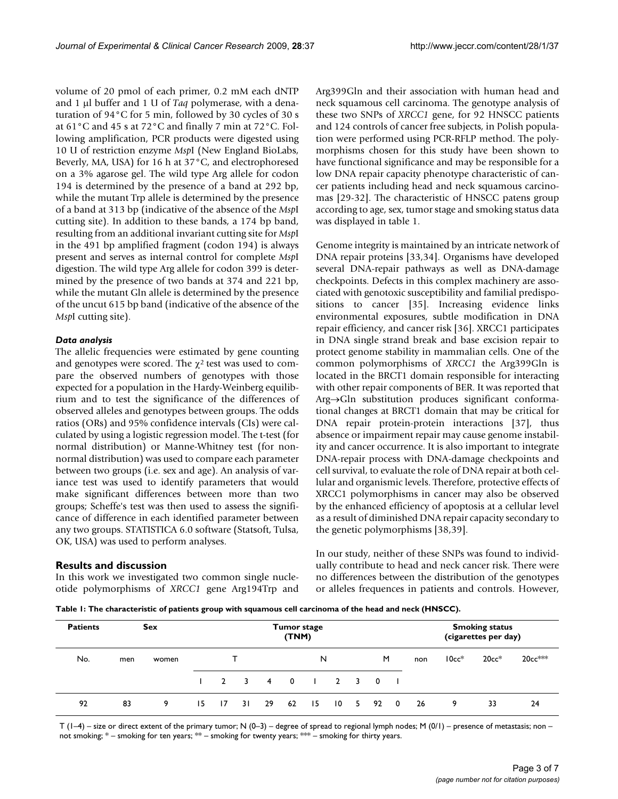volume of 20 pmol of each primer, 0.2 mM each dNTP and 1 μl buffer and 1 U of *Taq* polymerase, with a denaturation of 94°C for 5 min, followed by 30 cycles of 30 s at 61°C and 45 s at 72°C and finally 7 min at 72°C. Following amplification, PCR products were digested using 10 U of restriction enzyme *Msp*I (New England BioLabs, Beverly, MA, USA) for 16 h at 37°C, and electrophoresed on a 3% agarose gel. The wild type Arg allele for codon 194 is determined by the presence of a band at 292 bp, while the mutant Trp allele is determined by the presence of a band at 313 bp (indicative of the absence of the *Msp*I cutting site). In addition to these bands, a 174 bp band, resulting from an additional invariant cutting site for *Msp*I in the 491 bp amplified fragment (codon 194) is always present and serves as internal control for complete *Msp*I digestion. The wild type Arg allele for codon 399 is determined by the presence of two bands at 374 and 221 bp, while the mutant Gln allele is determined by the presence of the uncut 615 bp band (indicative of the absence of the *Msp*I cutting site).

#### *Data analysis*

The allelic frequencies were estimated by gene counting and genotypes were scored. The  $\chi^2$  test was used to compare the observed numbers of genotypes with those expected for a population in the Hardy-Weinberg equilibrium and to test the significance of the differences of observed alleles and genotypes between groups. The odds ratios (ORs) and 95% confidence intervals (CIs) were calculated by using a logistic regression model. The t-test (for normal distribution) or Manne-Whitney test (for nonnormal distribution) was used to compare each parameter between two groups (i.e. sex and age). An analysis of variance test was used to identify parameters that would make significant differences between more than two groups; Scheffe's test was then used to assess the significance of difference in each identified parameter between any two groups. STATISTICA 6.0 software (Statsoft, Tulsa, OK, USA) was used to perform analyses.

#### **Results and discussion**

In this work we investigated two common single nucleotide polymorphisms of *XRCC1* gene Arg194Trp and Arg399Gln and their association with human head and neck squamous cell carcinoma. The genotype analysis of these two SNPs of *XRCC1* gene, for 92 HNSCC patients and 124 controls of cancer free subjects, in Polish population were performed using PCR-RFLP method. The polymorphisms chosen for this study have been shown to have functional significance and may be responsible for a low DNA repair capacity phenotype characteristic of cancer patients including head and neck squamous carcinomas [\[29](#page-6-14)[-32\]](#page-6-15). The characteristic of HNSCC patens group according to age, sex, tumor stage and smoking status data was displayed in table [1.](#page-2-0)

Genome integrity is maintained by an intricate network of DNA repair proteins [\[33](#page-6-16)[,34](#page-6-17)]. Organisms have developed several DNA-repair pathways as well as DNA-damage checkpoints. Defects in this complex machinery are associated with genotoxic susceptibility and familial predispositions to cancer [\[35](#page-6-18)]. Increasing evidence links environmental exposures, subtle modification in DNA repair efficiency, and cancer risk [\[36](#page-6-19)]. XRCC1 participates in DNA single strand break and base excision repair to protect genome stability in mammalian cells. One of the common polymorphisms of *XRCC1* the Arg399Gln is located in the BRCT1 domain responsible for interacting with other repair components of BER. It was reported that Arg→Gln substitution produces significant conformational changes at BRCT1 domain that may be critical for DNA repair protein-protein interactions [[37](#page-6-20)], thus absence or impairment repair may cause genome instability and cancer occurrence. It is also important to integrate DNA-repair process with DNA-damage checkpoints and cell survival, to evaluate the role of DNA repair at both cellular and organismic levels. Therefore, protective effects of XRCC1 polymorphisms in cancer may also be observed by the enhanced efficiency of apoptosis at a cellular level as a result of diminished DNA repair capacity secondary to the genetic polymorphisms [[38,](#page-6-21)[39](#page-6-22)].

In our study, neither of these SNPs was found to individually contribute to head and neck cancer risk. There were no differences between the distribution of the genotypes or alleles frequences in patients and controls. However,

<span id="page-2-0"></span>**Table 1: The characteristic of patients group with squamous cell carcinoma of the head and neck (HNSCC).**

| <b>Patients</b> |     | <b>Sex</b> |    | <b>Tumor stage</b><br>(TNM) |     |                   | <b>Smoking status</b><br>(cigarettes per day) |      |  |                               |  |     |         |         |          |
|-----------------|-----|------------|----|-----------------------------|-----|-------------------|-----------------------------------------------|------|--|-------------------------------|--|-----|---------|---------|----------|
| No.             | men | women      |    |                             |     |                   |                                               | N    |  | M                             |  | non | $10cc*$ | $20cc*$ | $20cc^*$ |
|                 |     |            |    |                             |     | 1 2 3 4 0 1 2 3 0 |                                               |      |  |                               |  |     |         |         |          |
| 92              | 83  | 9          | 15 | $\overline{17}$             | 3 I | 29                | 62                                            | - 15 |  | $10 \quad 5 \quad 92 \quad 0$ |  | -26 | 9       | 33      | 24       |

T ( $1-4$ ) – size or direct extent of the primary tumor; N (0–3) – degree of spread to regional lymph nodes; M (0/1) – presence of metastasis; non – not smoking;  $*$  – smoking for ten years;  $**$  – smoking for twenty years;  $**$  – smoking for thirty years.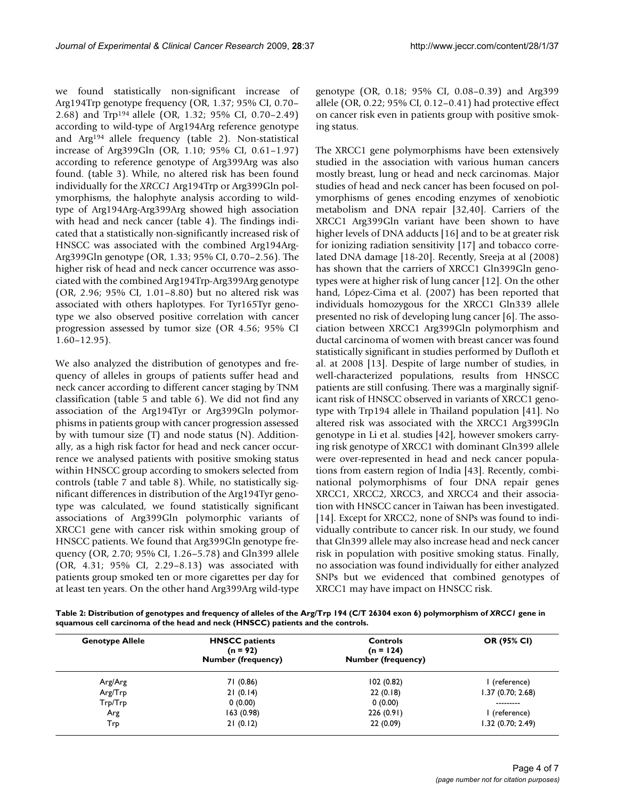we found statistically non-significant increase of Arg194Trp genotype frequency (OR, 1.37; 95% CI, 0.70– 2.68) and Trp194 allele (OR, 1.32; 95% CI, 0.70–2.49) according to wild-type of Arg194Arg reference genotype and Arg194 allele frequency (table [2\)](#page-3-0). Non-statistical increase of Arg399Gln (OR, 1.10; 95% CI, 0.61–1.97) according to reference genotype of Arg399Arg was also found. (table [3\)](#page-4-0). While, no altered risk has been found individually for the *XRCC1* Arg194Trp or Arg399Gln polymorphisms, the halophyte analysis according to wildtype of Arg194Arg-Arg399Arg showed high association with head and neck cancer (table [4\)](#page-4-1). The findings indicated that a statistically non-significantly increased risk of HNSCC was associated with the combined Arg194Arg-Arg399Gln genotype (OR, 1.33; 95% CI, 0.70–2.56). The higher risk of head and neck cancer occurrence was associated with the combined Arg194Trp-Arg399Arg genotype (OR, 2.96; 95% CI, 1.01–8.80) but no altered risk was associated with others haplotypes. For Tyr165Tyr genotype we also observed positive correlation with cancer progression assessed by tumor size (OR 4.56; 95% CI 1.60–12.95).

We also analyzed the distribution of genotypes and frequency of alleles in groups of patients suffer head and neck cancer according to different cancer staging by TNM classification (table [5](#page-4-2) and table [6](#page-4-3)). We did not find any association of the Arg194Tyr or Arg399Gln polymorphisms in patients group with cancer progression assessed by with tumour size (T) and node status (N). Additionally, as a high risk factor for head and neck cancer occurrence we analysed patients with positive smoking status within HNSCC group according to smokers selected from controls (table [7](#page-5-6) and table [8](#page-5-7)). While, no statistically significant differences in distribution of the Arg194Tyr genotype was calculated, we found statistically significant associations of Arg399Gln polymorphic variants of XRCC1 gene with cancer risk within smoking group of HNSCC patients. We found that Arg399Gln genotype frequency (OR, 2.70; 95% CI, 1.26–5.78) and Gln399 allele (OR, 4.31; 95% CI, 2.29–8.13) was associated with patients group smoked ten or more cigarettes per day for at least ten years. On the other hand Arg399Arg wild-type genotype (OR, 0.18; 95% CI, 0.08–0.39) and Arg399 allele (OR, 0.22; 95% CI, 0.12–0.41) had protective effect on cancer risk even in patients group with positive smoking status.

The XRCC1 gene polymorphisms have been extensively studied in the association with various human cancers mostly breast, lung or head and neck carcinomas. Major studies of head and neck cancer has been focused on polymorphisms of genes encoding enzymes of xenobiotic metabolism and DNA repair [[32,](#page-6-15)[40\]](#page-6-23). Carriers of the XRCC1 Arg399Gln variant have been shown to have higher levels of DNA adducts [\[16](#page-6-2)] and to be at greater risk for ionizing radiation sensitivity [\[17\]](#page-6-3) and tobacco correlated DNA damage [[18](#page-6-4)[-20](#page-6-5)]. Recently, Sreeja at al (2008) has shown that the carriers of XRCC1 Gln399Gln genotypes were at higher risk of lung cancer [[12\]](#page-6-24). On the other hand, López-Cima et al. (2007) has been reported that individuals homozygous for the XRCC1 Gln339 allele presented no risk of developing lung cancer [\[6\]](#page-5-5). The association between XRCC1 Arg399Gln polymorphism and ductal carcinoma of women with breast cancer was found statistically significant in studies performed by Dufloth et al. at 2008 [\[13](#page-6-25)]. Despite of large number of studies, in well-characterized populations, results from HNSCC patients are still confusing. There was a marginally significant risk of HNSCC observed in variants of XRCC1 genotype with Trp194 allele in Thailand population [[41\]](#page-6-26). No altered risk was associated with the XRCC1 Arg399Gln genotype in Li et al. studies [\[42\]](#page-6-27), however smokers carrying risk genotype of XRCC1 with dominant Gln399 allele were over-represented in head and neck cancer populations from eastern region of India [\[43](#page-6-28)]. Recently, combinational polymorphisms of four DNA repair genes XRCC1, XRCC2, XRCC3, and XRCC4 and their association with HNSCC cancer in Taiwan has been investigated. [[14](#page-6-0)]. Except for XRCC2, none of SNPs was found to individually contribute to cancer risk. In our study, we found that Gln399 allele may also increase head and neck cancer risk in population with positive smoking status. Finally, no association was found individually for either analyzed SNPs but we evidenced that combined genotypes of XRCC1 may have impact on HNSCC risk.

<span id="page-3-0"></span>**Table 2: Distribution of genotypes and frequency of alleles of the Arg/Trp 194 (C/T 26304 exon 6) polymorphism of** *XRCC1* **gene in squamous cell carcinoma of the head and neck (HNSCC) patients and the controls.**

| <b>Genotype Allele</b> | <b>HNSCC</b> patients<br>$(n = 92)$<br><b>Number (frequency)</b> | <b>Controls</b><br>$(n = 124)$<br><b>Number (frequency)</b> | OR (95% CI)       |  |
|------------------------|------------------------------------------------------------------|-------------------------------------------------------------|-------------------|--|
| Arg/Arg                | 71 (0.86)                                                        | 102(0.82)                                                   | (reference)       |  |
| Arg/Trp                | 21(0.14)                                                         | 22(0.18)                                                    | 1.37 (0.70; 2.68) |  |
| Trp/Trp                | 0(0.00)                                                          | 0(0.00)                                                     | ---------         |  |
| Arg                    | 163(0.98)                                                        | 226(0.91)                                                   | l (reference)     |  |
| Trp                    | 21(0.12)                                                         | 22 (0.09)                                                   | 1.32 (0.70; 2.49) |  |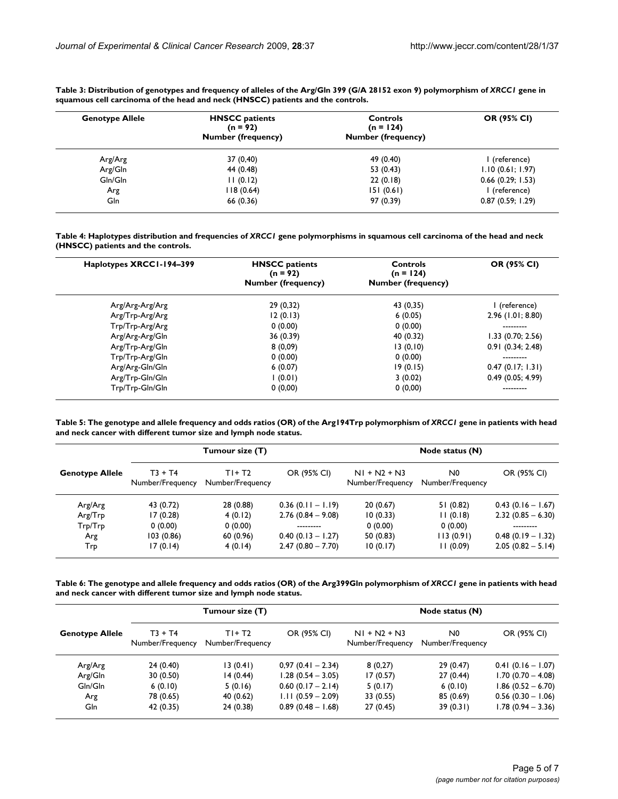| <b>Genotype Allele</b> | <b>HNSCC</b> patients<br>$(n = 92)$<br><b>Number (frequency)</b> | <b>Controls</b><br>$(n = 124)$<br><b>Number (frequency)</b> | OR (95% CI)         |  |
|------------------------|------------------------------------------------------------------|-------------------------------------------------------------|---------------------|--|
| Arg/Arg                | 37 (0,40)                                                        | 49 (0.40)                                                   | I (reference)       |  |
| Arg/Gln                | 44 (0.48)                                                        | 53 $(0.43)$                                                 | 1.10(0.61; 1.97)    |  |
| Gln/Gln                | 11(0.12)                                                         | 22(0.18)                                                    | $0.66$ (0.29; 1.53) |  |
| Arg                    | 118(0.64)                                                        | 151(0.61)                                                   | I (reference)       |  |
| Gln                    | 66 (0.36)                                                        | 97 (0.39)                                                   | 0.87(0.59; 1.29)    |  |

<span id="page-4-0"></span>**Table 3: Distribution of genotypes and frequency of alleles of the Arg/Gln 399 (G/A 28152 exon 9) polymorphism of** *XRCC1* **gene in squamous cell carcinoma of the head and neck (HNSCC) patients and the controls.**

<span id="page-4-1"></span>**Table 4: Haplotypes distribution and frequencies of** *XRCC1* **gene polymorphisms in squamous cell carcinoma of the head and neck (HNSCC) patients and the controls.**

| Haplotypes XRCCI-194-399 | <b>HNSCC</b> patients<br>$(n = 92)$<br><b>Number (frequency)</b> | Controls<br>$(n = 124)$<br><b>Number (frequency)</b> | OR (95% CI)         |  |
|--------------------------|------------------------------------------------------------------|------------------------------------------------------|---------------------|--|
| Arg/Arg-Arg/Arg          | 29(0,32)                                                         | 43 (0,35)                                            | (reference)         |  |
| Arg/Trp-Arg/Arg          | 12(0.13)                                                         | 6(0.05)                                              | $2.96$ (1.01; 8.80) |  |
| Trp/Trp-Arg/Arg          | 0(0.00)                                                          | 0(0.00)                                              | ---------           |  |
| Arg/Arg-Arg/Gln          | 36 (0.39)                                                        | 40 (0.32)                                            | $1.33$ (0.70; 2.56) |  |
| Arg/Trp-Arg/Gln          | 8(0,09)                                                          | 13(0,10)                                             | 0.91(0.34; 2.48)    |  |
| Trp/Trp-Arg/Gln          | 0(0.00)                                                          | 0(0.00)                                              |                     |  |
| Arg/Arg-Gln/Gln          | 6(0.07)                                                          | 19(0.15)                                             | 0.47(0.17; 1.31)    |  |
| Arg/Trp-Gln/Gln          | l (0.01)                                                         | 3(0.02)                                              | 0.49(0.05; 4.99)    |  |
| Trp/Trp-Gln/Gln          | 0(0,00)                                                          | 0(0,00)                                              |                     |  |

<span id="page-4-2"></span>**Table 5: The genotype and allele frequency and odds ratios (OR) of the Arg194Trp polymorphism of** *XRCC1* **gene in patients with head and neck cancer with different tumor size and lymph node status.**

|                        |                               | Tumour size (T)            |                     | Node status (N)                    |                                    |                     |  |
|------------------------|-------------------------------|----------------------------|---------------------|------------------------------------|------------------------------------|---------------------|--|
| <b>Genotype Allele</b> | $T3 + T4$<br>Number/Frequency | $T+T2$<br>Number/Frequency | OR (95% CI)         | $NI + N2 + N3$<br>Number/Frequency | N <sub>0</sub><br>Number/Frequency | OR (95% CI)         |  |
| Arg/Arg                | 43 (0.72)                     | 28 (0.88)                  | $0.36(0.11 - 1.19)$ | 20(0.67)                           | 51(0.82)                           | $0.43(0.16 - 1.67)$ |  |
| Arg/Trp                | 17(0.28)                      | 4(0.12)                    | $2.76(0.84 - 9.08)$ | 10(0.33)                           | 11(0.18)                           | $2.32(0.85 - 6.30)$ |  |
| Trp/Trp                | 0(0.00)                       | 0(0.00)                    | ---------           | 0(0.00)                            | 0(0.00)                            | ---------           |  |
| Arg                    | 103(0.86)                     | 60(0.96)                   | $0.40(0.13 - 1.27)$ | 50(0.83)                           | 113(0.91)                          | $0.48(0.19 - 1.32)$ |  |
| Trp                    | 17(0.14)                      | 4(0.14)                    | $2.47(0.80 - 7.70)$ | 10(0.17)                           | 11(0.09)                           | $2.05(0.82 - 5.14)$ |  |

<span id="page-4-3"></span>**Table 6: The genotype and allele frequency and odds ratios (OR) of the Arg399Gln polymorphism of** *XRCC1* **gene in patients with head and neck cancer with different tumor size and lymph node status.**

|                        |                               | Tumour size (T)            |                     | Node status (N)                    |                        |                     |  |
|------------------------|-------------------------------|----------------------------|---------------------|------------------------------------|------------------------|---------------------|--|
| <b>Genotype Allele</b> | $T3 + T4$<br>Number/Frequency | $T+T2$<br>Number/Frequency | OR (95% CI)         | $NI + N2 + N3$<br>Number/Frequency | N0<br>Number/Frequency | OR (95% CI)         |  |
| Arg/Arg                | 24(0.40)                      | 13(0.41)                   | $0,97(0.41 - 2.34)$ | 8(0,27)                            | 29(0.47)               | $0.41(0.16 - 1.07)$ |  |
| Arg/Gln                | 30(0.50)                      | 14 (0.44)                  | $1.28(0.54 - 3.05)$ | 17(0.57)                           | 27(0.44)               | $1.70(0.70 - 4.08)$ |  |
| Gln/Gln                | 6(0.10)                       | 5(0.16)                    | $0.60(0.17 - 2.14)$ | 5(0.17)                            | 6(0.10)                | $1.86(0.52 - 6.70)$ |  |
| Arg                    | 78 (0.65)                     | 40 (0.62)                  | $1.11(0.59 - 2.09)$ | 33 (0.55)                          | 85 (0.69)              | $0.56(0.30 - 1.06)$ |  |
| Gln                    | 42 (0.35)                     | 24(0.38)                   | $0.89(0.48 - 1.68)$ | 27(0.45)                           | 39(0.31)               | $1.78(0.94 - 3.36)$ |  |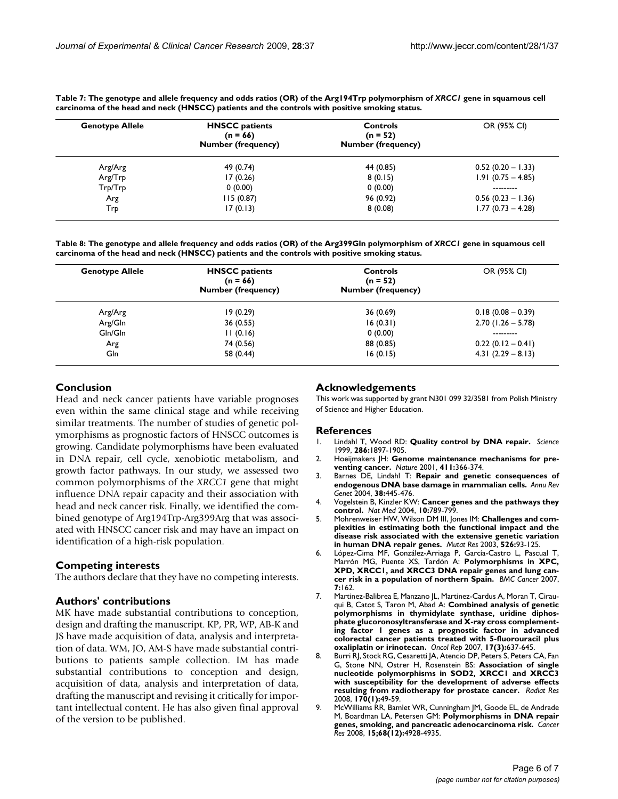| <b>Genotype Allele</b> | <b>HNSCC</b> patients<br>$(n = 66)$<br><b>Number (frequency)</b> | <b>Controls</b><br>$(n = 52)$<br><b>Number (frequency)</b> | OR (95% CI)          |
|------------------------|------------------------------------------------------------------|------------------------------------------------------------|----------------------|
| Arg/Arg                | 49 (0.74)                                                        | 44 (0.85)                                                  | $0.52(0.20 - 1.33)$  |
| Arg/Trp                | 17(0.26)                                                         | 8(0.15)                                                    | $1.91(0.75 - 4.85)$  |
| Trp/Trp                | 0(0.00)                                                          | 0(0.00)                                                    | ---------            |
| Arg                    | 115(0.87)                                                        | 96 (0.92)                                                  | $0.56$ (0.23 - 1.36) |
| Trp                    | 17(0.13)                                                         | 8(0.08)                                                    | $1.77(0.73 - 4.28)$  |

<span id="page-5-6"></span>**Table 7: The genotype and allele frequency and odds ratios (OR) of the Arg194Trp polymorphism of** *XRCC1* **gene in squamous cell carcinoma of the head and neck (HNSCC) patients and the controls with positive smoking status.**

<span id="page-5-7"></span>**Table 8: The genotype and allele frequency and odds ratios (OR) of the Arg399Gln polymorphism of** *XRCC1* **gene in squamous cell carcinoma of the head and neck (HNSCC) patients and the controls with positive smoking status.**

| <b>Genotype Allele</b> | <b>HNSCC</b> patients<br>$(n = 66)$<br><b>Number (frequency)</b> | <b>Controls</b><br>$(n = 52)$<br><b>Number (frequency)</b> | OR (95% CI)          |  |
|------------------------|------------------------------------------------------------------|------------------------------------------------------------|----------------------|--|
| Arg/Arg                | 19(0.29)                                                         | 36 (0.69)                                                  | $0.18(0.08 - 0.39)$  |  |
| Arg/Gln                | 36(0.55)                                                         | 16(0.31)                                                   | $2.70$ (1.26 - 5.78) |  |
| Gln/Gln                | 11(0.16)                                                         | 0(0.00)                                                    | ---------            |  |
| Arg                    | 74 (0.56)                                                        | 88 (0.85)                                                  | $0.22(0.12 - 0.41)$  |  |
| Gln                    | 58 (0.44)                                                        | 16(0.15)                                                   | $4.31(2.29 - 8.13)$  |  |

#### **Conclusion**

Head and neck cancer patients have variable prognoses even within the same clinical stage and while receiving similar treatments. The number of studies of genetic polymorphisms as prognostic factors of HNSCC outcomes is growing. Candidate polymorphisms have been evaluated in DNA repair, cell cycle, xenobiotic metabolism, and growth factor pathways. In our study, we assessed two common polymorphisms of the *XRCC1* gene that might influence DNA repair capacity and their association with head and neck cancer risk. Finally, we identified the combined genotype of Arg194Trp-Arg399Arg that was associated with HNSCC cancer risk and may have an impact on identification of a high-risk population.

#### **Competing interests**

The authors declare that they have no competing interests.

#### **Authors' contributions**

MK have made substantial contributions to conception, design and drafting the manuscript. KP, PR, WP, AB-K and JS have made acquisition of data, analysis and interpretation of data. WM, JO, AM-S have made substantial contributions to patients sample collection. IM has made substantial contributions to conception and design, acquisition of data, analysis and interpretation of data, drafting the manuscript and revising it critically for important intellectual content. He has also given final approval of the version to be published.

#### **Acknowledgements**

This work was supported by grant N301 099 32/3581 from Polish Ministry of Science and Higher Education.

#### **References**

- <span id="page-5-0"></span>1. Lindahl T, Wood RD: **[Quality control by DNA repair.](http://www.ncbi.nlm.nih.gov/entrez/query.fcgi?cmd=Retrieve&db=PubMed&dopt=Abstract&list_uids=10583946)** *Science* 1999, **286:**1897-1905.
- <span id="page-5-1"></span>2. Hoeijmakers JH: **[Genome maintenance mechanisms for pre](http://www.ncbi.nlm.nih.gov/entrez/query.fcgi?cmd=Retrieve&db=PubMed&dopt=Abstract&list_uids=11357144)[venting cancer.](http://www.ncbi.nlm.nih.gov/entrez/query.fcgi?cmd=Retrieve&db=PubMed&dopt=Abstract&list_uids=11357144)** *Nature* 2001, **411:**366-374.
- <span id="page-5-2"></span>3. Barnes DE, Lindahl T: **[Repair and genetic consequences of](http://www.ncbi.nlm.nih.gov/entrez/query.fcgi?cmd=Retrieve&db=PubMed&dopt=Abstract&list_uids=15568983) [endogenous DNA base damage in mammalian cells.](http://www.ncbi.nlm.nih.gov/entrez/query.fcgi?cmd=Retrieve&db=PubMed&dopt=Abstract&list_uids=15568983)** *Annu Rev Genet* 2004, **38:**445-476.
- <span id="page-5-3"></span>4. Vogelstein B, Kinzler KW: **[Cancer genes and the pathways they](http://www.ncbi.nlm.nih.gov/entrez/query.fcgi?cmd=Retrieve&db=PubMed&dopt=Abstract&list_uids=15286780) [control.](http://www.ncbi.nlm.nih.gov/entrez/query.fcgi?cmd=Retrieve&db=PubMed&dopt=Abstract&list_uids=15286780)** *Nat Med* 2004, **10:**789-799.
- <span id="page-5-4"></span>5. Mohrenweiser HW, Wilson DM III, Jones IM: **[Challenges and com](http://www.ncbi.nlm.nih.gov/entrez/query.fcgi?cmd=Retrieve&db=PubMed&dopt=Abstract&list_uids=12714187)[plexities in estimating both the functional impact and the](http://www.ncbi.nlm.nih.gov/entrez/query.fcgi?cmd=Retrieve&db=PubMed&dopt=Abstract&list_uids=12714187) disease risk associated with the extensive genetic variation [in human DNA repair genes.](http://www.ncbi.nlm.nih.gov/entrez/query.fcgi?cmd=Retrieve&db=PubMed&dopt=Abstract&list_uids=12714187)** *Mutat Res* 2003, **526:**93-125.
- <span id="page-5-5"></span>6. López-Cima MF, González-Arriaga P, García-Castro L, Pascual T, Marrón MG, Puente XS, Tardón A: **[Polymorphisms in XPC,](http://www.ncbi.nlm.nih.gov/entrez/query.fcgi?cmd=Retrieve&db=PubMed&dopt=Abstract&list_uids=17705814) [XPD, XRCC1, and XRCC3 DNA repair genes and lung can](http://www.ncbi.nlm.nih.gov/entrez/query.fcgi?cmd=Retrieve&db=PubMed&dopt=Abstract&list_uids=17705814)[cer risk in a population of northern Spain.](http://www.ncbi.nlm.nih.gov/entrez/query.fcgi?cmd=Retrieve&db=PubMed&dopt=Abstract&list_uids=17705814)** *BMC Cancer* 2007, **7:**162.
- 7. Martinez-Balibrea E, Manzano JL, Martinez-Cardus A, Moran T, Cirauqui B, Catot S, Taron M, Abad A: **[Combined analysis of genetic](http://www.ncbi.nlm.nih.gov/entrez/query.fcgi?cmd=Retrieve&db=PubMed&dopt=Abstract&list_uids=17273745) [polymorphisms in thymidylate synthase, uridine diphos](http://www.ncbi.nlm.nih.gov/entrez/query.fcgi?cmd=Retrieve&db=PubMed&dopt=Abstract&list_uids=17273745)phate glucoronosyltransferase and X-ray cross complementing factor 1 genes as a prognostic factor in advanced colorectal cancer patients treated with 5-fluorouracil plus [oxaliplatin or irinotecan.](http://www.ncbi.nlm.nih.gov/entrez/query.fcgi?cmd=Retrieve&db=PubMed&dopt=Abstract&list_uids=17273745)** *Oncol Rep* 2007, **17(3):**637-645.
- 8. Burri RJ, Stock RG, Cesaretti JA, Atencio DP, Peters S, Peters CA, Fan G, Stone NN, Ostrer H, Rosenstein BS: **[Association of single](http://www.ncbi.nlm.nih.gov/entrez/query.fcgi?cmd=Retrieve&db=PubMed&dopt=Abstract&list_uids=18582155) [nucleotide polymorphisms in SOD2, XRCC1 and XRCC3](http://www.ncbi.nlm.nih.gov/entrez/query.fcgi?cmd=Retrieve&db=PubMed&dopt=Abstract&list_uids=18582155) with susceptibility for the development of adverse effects [resulting from radiotherapy for prostate cancer.](http://www.ncbi.nlm.nih.gov/entrez/query.fcgi?cmd=Retrieve&db=PubMed&dopt=Abstract&list_uids=18582155)** *Radiat Res* 2008, **170(1):**49-59.
- 9. McWilliams RR, Bamlet WR, Cunningham JM, Goode EL, de Andrade M, Boardman LA, Petersen GM: **Polymorphisms in DNA repair genes, smoking, and pancreatic adenocarcinoma risk.** *Cancer Res* 2008, **15;68(12):**4928-4935.